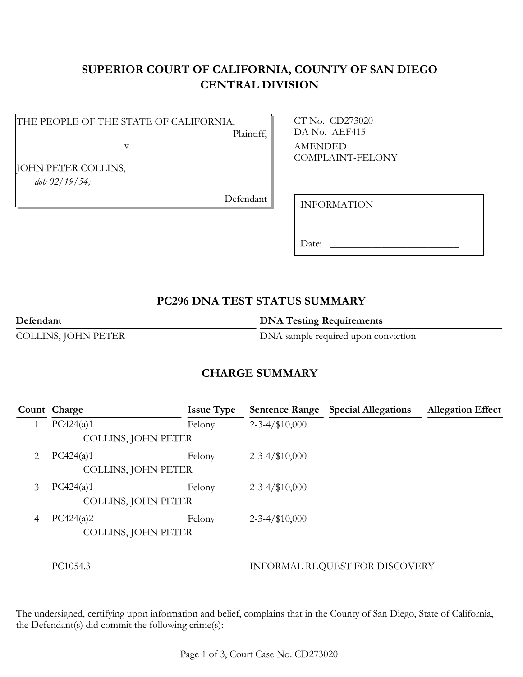# **SUPERIOR COURT OF CALIFORNIA, COUNTY OF SAN DIEGO CENTRAL DIVISION**

#### THE PEOPLE OF THE STATE OF CALIFORNIA, Plaintiff,

v.

JOHN PETER COLLINS, *dob 02/19/54;*

Defendant

CT No. CD273020 DA No. AEF415 AMENDED COMPLAINT-FELONY

INFORMATION

Date:

# **PC296 DNA TEST STATUS SUMMARY**

**Defendant DNA Testing Requirements** 

COLLINS, JOHN PETER DNA sample required upon conviction

## **CHARGE SUMMARY**

|   | Count Charge        | <b>Issue Type</b> |                       | <b>Sentence Range</b> Special Allegations | <b>Allegation Effect</b> |
|---|---------------------|-------------------|-----------------------|-------------------------------------------|--------------------------|
|   | PC424(a)1           | Felony            | $2 - 3 - 4 / $10,000$ |                                           |                          |
|   | COLLINS, JOHN PETER |                   |                       |                                           |                          |
| 2 | PC424(a)1           | Felony            | $2 - 3 - 4 / $10,000$ |                                           |                          |
|   | COLLINS, JOHN PETER |                   |                       |                                           |                          |
| 3 | PC424(a)1           | Felony            | $2 - 3 - 4 / $10,000$ |                                           |                          |
|   | COLLINS, JOHN PETER |                   |                       |                                           |                          |
| 4 | PC424(a)2           | Felony            | $2 - 3 - 4 / $10,000$ |                                           |                          |
|   | COLLINS, JOHN PETER |                   |                       |                                           |                          |
|   |                     |                   |                       |                                           |                          |
|   | PC1054.3            |                   |                       | INFORMAL REQUEST FOR DISCOVERY            |                          |

The undersigned, certifying upon information and belief, complains that in the County of San Diego, State of California, the Defendant(s) did commit the following crime(s):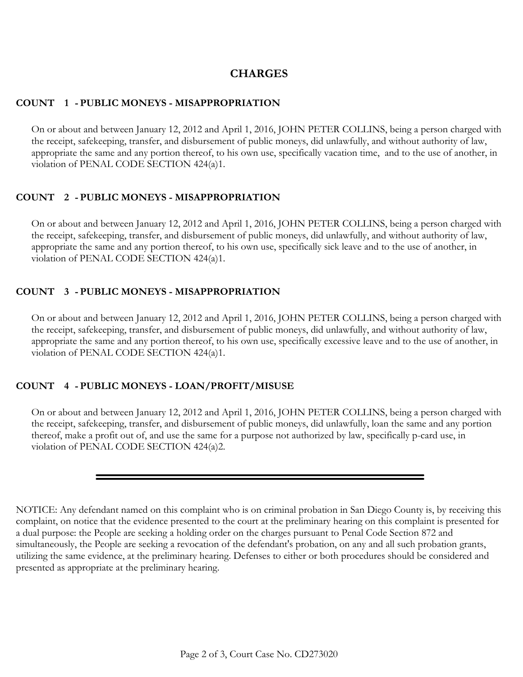## **CHARGES**

#### **COUNT 1 - PUBLIC MONEYS - MISAPPROPRIATION**

On or about and between January 12, 2012 and April 1, 2016, JOHN PETER COLLINS, being a person charged with the receipt, safekeeping, transfer, and disbursement of public moneys, did unlawfully, and without authority of law, appropriate the same and any portion thereof, to his own use, specifically vacation time, and to the use of another, in violation of PENAL CODE SECTION 424(a)1.

### **COUNT 2 - PUBLIC MONEYS - MISAPPROPRIATION**

On or about and between January 12, 2012 and April 1, 2016, JOHN PETER COLLINS, being a person charged with the receipt, safekeeping, transfer, and disbursement of public moneys, did unlawfully, and without authority of law, appropriate the same and any portion thereof, to his own use, specifically sick leave and to the use of another, in violation of PENAL CODE SECTION 424(a)1.

### **COUNT 3 - PUBLIC MONEYS - MISAPPROPRIATION**

On or about and between January 12, 2012 and April 1, 2016, JOHN PETER COLLINS, being a person charged with the receipt, safekeeping, transfer, and disbursement of public moneys, did unlawfully, and without authority of law, appropriate the same and any portion thereof, to his own use, specifically excessive leave and to the use of another, in violation of PENAL CODE SECTION 424(a)1.

### **COUNT 4 - PUBLIC MONEYS - LOAN/PROFIT/MISUSE**

On or about and between January 12, 2012 and April 1, 2016, JOHN PETER COLLINS, being a person charged with the receipt, safekeeping, transfer, and disbursement of public moneys, did unlawfully, loan the same and any portion thereof, make a profit out of, and use the same for a purpose not authorized by law, specifically p-card use, in violation of PENAL CODE SECTION 424(a)2.

NOTICE: Any defendant named on this complaint who is on criminal probation in San Diego County is, by receiving this complaint, on notice that the evidence presented to the court at the preliminary hearing on this complaint is presented for a dual purpose: the People are seeking a holding order on the charges pursuant to Penal Code Section 872 and simultaneously, the People are seeking a revocation of the defendant's probation, on any and all such probation grants, utilizing the same evidence, at the preliminary hearing. Defenses to either or both procedures should be considered and presented as appropriate at the preliminary hearing.